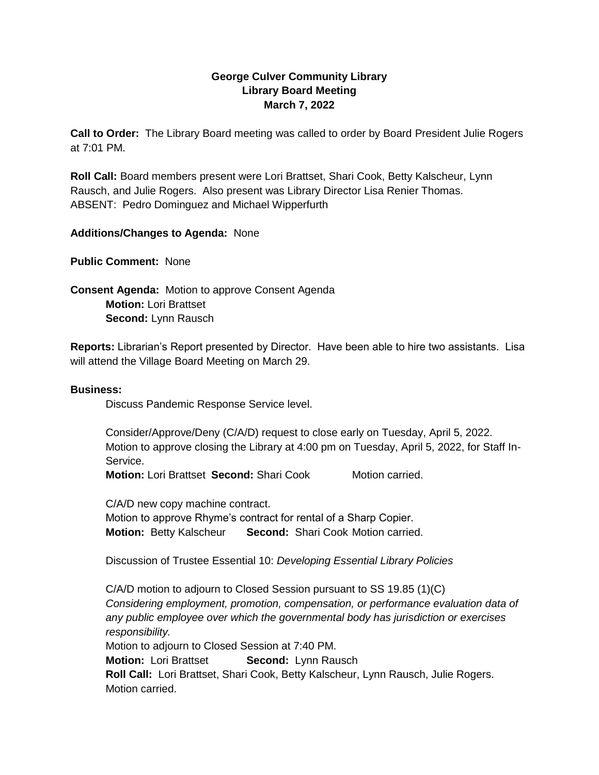## **George Culver Community Library Library Board Meeting March 7, 2022**

**Call to Order:** The Library Board meeting was called to order by Board President Julie Rogers at 7:01 PM.

**Roll Call:** Board members present were Lori Brattset, Shari Cook, Betty Kalscheur, Lynn Rausch, and Julie Rogers. Also present was Library Director Lisa Renier Thomas. ABSENT: Pedro Dominguez and Michael Wipperfurth

## **Additions/Changes to Agenda:** None

**Public Comment:** None

**Consent Agenda:** Motion to approve Consent Agenda **Motion:** Lori Brattset **Second:** Lynn Rausch

**Reports:** Librarian's Report presented by Director. Have been able to hire two assistants. Lisa will attend the Village Board Meeting on March 29.

## **Business:**

Discuss Pandemic Response Service level.

Consider/Approve/Deny (C/A/D) request to close early on Tuesday, April 5, 2022. Motion to approve closing the Library at 4:00 pm on Tuesday, April 5, 2022, for Staff In-Service.

**Motion:** Lori Brattset **Second:** Shari Cook Motion carried.

C/A/D new copy machine contract. Motion to approve Rhyme's contract for rental of a Sharp Copier. **Motion:** Betty Kalscheur **Second:** Shari Cook Motion carried.

Discussion of Trustee Essential 10: *Developing Essential Library Policies*

C/A/D motion to adjourn to Closed Session pursuant to SS 19.85 (1)(C) *Considering employment, promotion, compensation, or performance evaluation data of any public employee over which the governmental body has jurisdiction or exercises responsibility.*  Motion to adjourn to Closed Session at 7:40 PM.

**Motion:** Lori Brattset **Second:** Lynn Rausch

**Roll Call:** Lori Brattset, Shari Cook, Betty Kalscheur, Lynn Rausch, Julie Rogers. Motion carried.